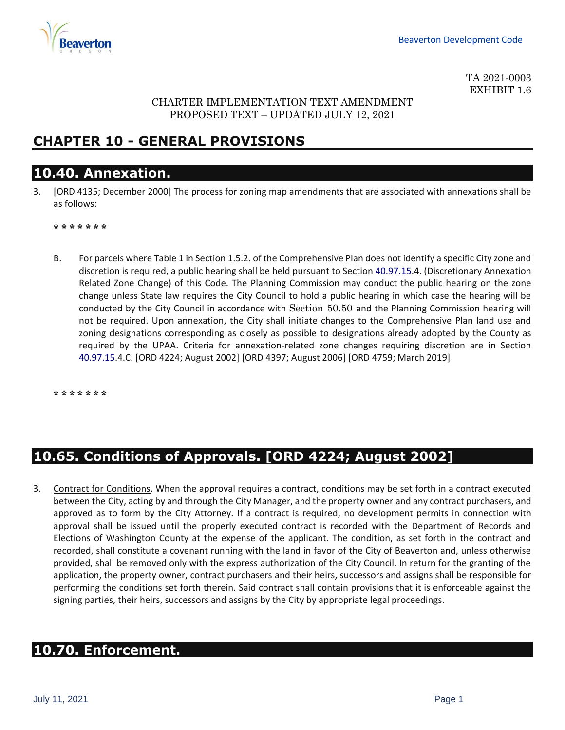

TA 2021-0003 EXHIBIT 1.6

#### CHARTER IMPLEMENTATION TEXT AMENDMENT PROPOSED TEXT – UPDATED JULY 12, 2021

# **CHAPTER 10 - GENERAL PROVISIONS**

#### **10.40. Annexation.**

3. [ORD 4135; December 2000] The process for zoning map amendments that are associated with annexations shall be as follows:

**\* \* \* \* \* \* \***

B. For parcels where Table 1 in Section 1.5.2. of the Comprehensive Plan does not identify a specific City zone and discretion is required, a public hearing shall be held pursuant to Section 40.97.15.4. (Discretionary Annexation Related Zone Change) of this Code. The Planning Commission may conduct the public hearing on the zone change unless State law requires the City Council to hold a public hearing in which case the hearing will be conducted by the City Council in accordance with Section 50.50 and the Planning Commission hearing will not be required. Upon annexation, the City shall initiate changes to the Comprehensive Plan land use and zoning designations corresponding as closely as possible to designations already adopted by the County as required by the UPAA. Criteria for annexation-related zone changes requiring discretion are in Section 40.97.15.4.C. [ORD 4224; August 2002] [ORD 4397; August 2006] [ORD 4759; March 2019]

**\* \* \* \* \* \* \***

# **10.65. Conditions of Approvals. [ORD 4224; August 2002]**

3. Contract for Conditions. When the approval requires a contract, conditions may be set forth in a contract executed between the [City,](http://online.encodeplus.com/regs/beaverton-or/doc-view.aspx?pn=0&ajax=0&secid=930) acting by and through the [City](http://online.encodeplus.com/regs/beaverton-or/doc-view.aspx?pn=0&ajax=0&secid=1111) Manager, and the property [owner](http://online.encodeplus.com/regs/beaverton-or/doc-view.aspx?pn=0&ajax=0&secid=1153) and any contract purchasers, and approved as to form by the City Attorney. If a contract is required, no development permits in connection with approval shall be issued until the properly executed contract is recorded with the Department of Records and Elections of Washington County at the expense of the applicant. The condition, as set forth in the contract and recorded, shall constitute a covenant running with the land in favor of the City of Beaverton and, unless otherwise provided, shall be removed only with the express authorization of the City Council. In return for the granting of the application, the property owner, contract purchasers and their heirs, successors and assigns shall be responsible for performing the conditions set forth therein. Said contract shall contain provisions that it is enforceable against the signing parties, their heirs, successors and assigns by the City by appropriate legal proceedings.

# **10.70. Enforcement.**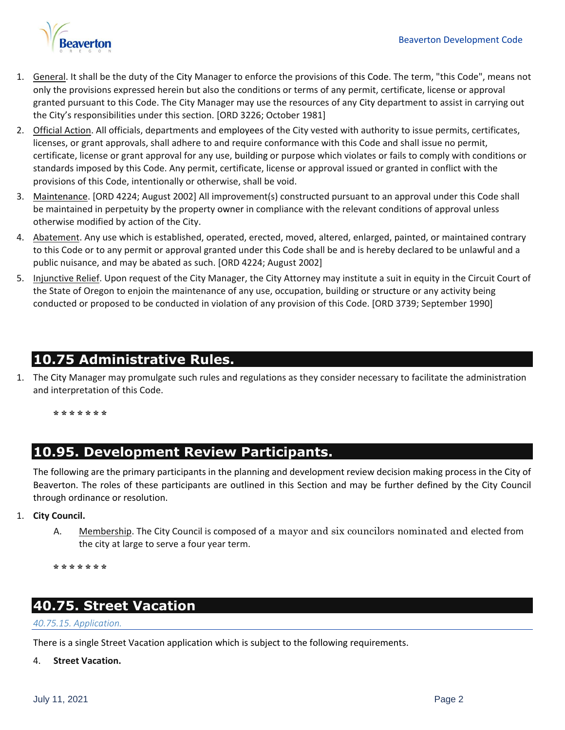

- 1. General. It shall be the duty of the [City](http://online.encodeplus.com/regs/beaverton-or/doc-view.aspx?pn=0&ajax=0&secid=1111) Manager to enforce the provisions of [this Code.](http://online.encodeplus.com/regs/beaverton-or/doc-view.aspx?pn=0&ajax=0&secid=937) The term, "this Code", means not only the provisions expressed herein but also the conditions or terms of any permit, certificate, license or approval granted pursuant to this Code. The City Manager may use the resources of any [City](http://online.encodeplus.com/regs/beaverton-or/doc-view.aspx?pn=0&ajax=0&secid=930) department to assist in carrying out the City's responsibilities under this section. [ORD 3226; October 1981]
- 2. Official Action. All officials, departments and [employees](http://online.encodeplus.com/regs/beaverton-or/doc-view.aspx?pn=0&ajax=0&secid=1002) of the City vested with authority to issue permits, certificates, licenses, or grant approvals, shall adhere to and require conformance with this Code and shall issue no permit, certificate, license or grant approval for any use, [building](http://online.encodeplus.com/regs/beaverton-or/doc-view.aspx?pn=0&ajax=0&secid=910) or purpose which violates or fails to comply with conditions or standards imposed by this Code. Any permit, certificate, license or approval issued or granted in conflict with the provisions of this Code, intentionally or otherwise, shall be void.
- 3. [Maintenance.](http://online.encodeplus.com/regs/beaverton-or/doc-view.aspx?pn=0&ajax=0&secid=1100) [ORD 4224; August 2002] All improvement(s) constructed pursuant to an approval under this Code shall be maintained in perpetuity by the property [owner](http://online.encodeplus.com/regs/beaverton-or/doc-view.aspx?pn=0&ajax=0&secid=1153) in compliance with the relevant conditions of approval unless otherwise modified by action of the City.
- 4. Abatement. Any use which is established, operated, erected, moved, altered, enlarged, painted, or maintained contrary to this Code or to any permit or approval granted under this Code shall be and is hereby declared to be unlawful and a public nuisance, and may be abated as such. [ORD 4224; August 2002]
- 5. Injunctive Relief. Upon request of the City Manager, the City Attorney may institute a suit in equity in the Circuit Court of the State of Oregon to enjoin the maintenance of any use, occupation, building or [structure](http://online.encodeplus.com/regs/beaverton-or/doc-view.aspx?pn=0&ajax=0&secid=1281) or any activity being conducted or proposed to be conducted in violation of any provision of this Code. [ORD 3739; September 1990]

## **10.75 Administrative Rules.**

1. The [City](http://online.encodeplus.com/regs/beaverton-or/doc-view.aspx?pn=0&ajax=0&secid=1111) Manager may promulgate such rules and regulations as they consider necessary to facilitate the administration and interpretation of this Code.

**\* \* \* \* \* \* \***

### **10.95. Development Review Participants.**

The following are the primary participants in the planning and development review decision making process in the City of Beaverton. The roles of these participants are outlined in this Section and may be further defined by the City Council through ordinance or resolution.

- 1. **City Council.**
	- A. Membership. The City Council is composed of a mayor and six councilors nominated and elected from the city at large to serve a four year term.

**\* \* \* \* \* \* \***

#### **40.75. Street Vacation**

*40.75.15. Application.*

There is a single Street Vacation application which is subject to the following requirements.

#### 4. **Street Vacation.**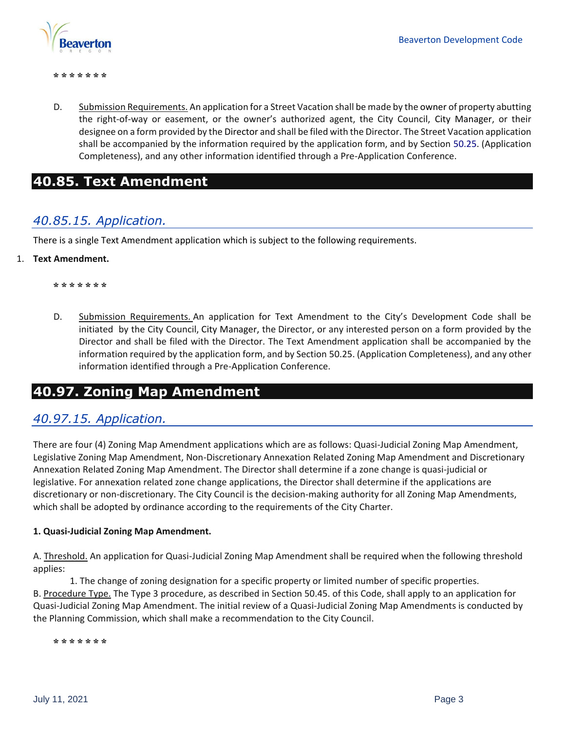



D. Submission Requirements. An application for a Street Vacation shall be made by the owner of property abutting the right-of-way or easement, or the owner's authorized agent, the City Council, City Manager, or their designee on a form provided by the Director and shall be filed with the Director. The Street Vacation application shall be accompanied by the information required by the application form, and by Section 50.25. (Application Completeness), and any other information identified through a Pre-Application Conference.

### **40.85. Text Amendment**

#### *40.85.15. Application.*

There is a single Text Amendment application which is subject to the following requirements.

#### 1. **Text Amendment.**

**\* \* \* \* \* \* \***

D. Submission Requirements. An application for Text Amendment to the City's Development Code shall be initiated by the City Council, City Manager, the [Director,](http://online.encodeplus.com/regs/beaverton-or/doc-view.aspx?pn=0&ajax=0&secid=976) or any interested [person](http://online.encodeplus.com/regs/beaverton-or/doc-view.aspx?pn=0&ajax=0&secid=1180) on a form provided by the Director and shall be filed with the Director. The Text Amendment application shall be accompanied by the information required by the application form, and by Section [50.25.](http://online.encodeplus.com/regs/beaverton-or/doc-viewer.aspx?ajax=0&tocid=001.006.005) (Application Completeness), and any other information identified through a Pre-Application Conference.

# **40.97. Zoning Map Amendment**

#### *40.97.15. Application.*

There are four (4) Zoning Map Amendment applications which are as follows: Quasi-Judicial Zoning Map Amendment, Legislative Zoning Map Amendment, Non-Discretionary Annexation Related Zoning Map Amendment and Discretionary Annexation Related Zoning Map Amendment. The Director shall determine if a zone change is quasi-judicial or legislative. For annexation related zone change applications, the Director shall determine if the applications are discretionary or non-discretionary. The City Council is the decision-making authority for all Zoning Map Amendments, which shall be adopted by ordinance according to the requirements of the City Charter.

#### **1. Quasi-Judicial Zoning Map Amendment.**

A. Threshold. An application for Quasi-Judicial Zoning Map Amendment shall be required when the following threshold applies:

 1. The change of zoning designation for a specific property or limited number of specific properties. B. Procedure Type. The Type 3 procedure, as described in Section 50.45. of this Code, shall apply to an application for Quasi-Judicial Zoning Map Amendment. The initial review of a Quasi-Judicial Zoning Map Amendments is conducted by the Planning Commission, which shall make a recommendation to the City Council.

**\* \* \* \* \* \* \***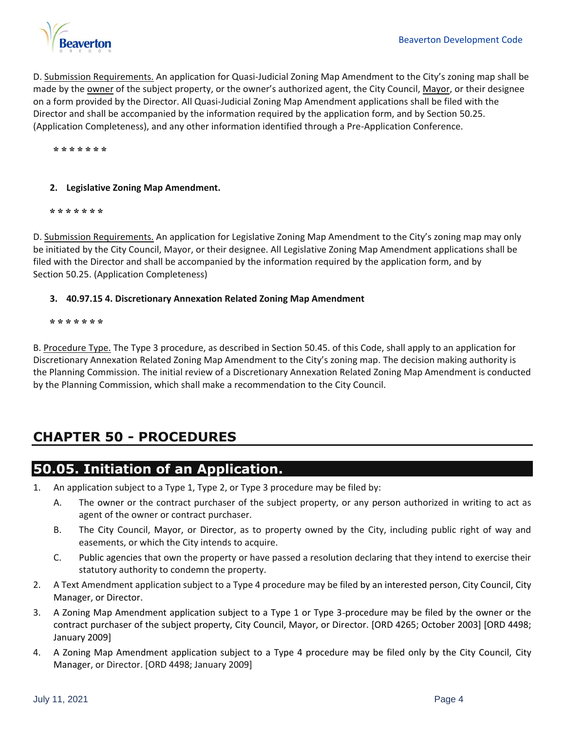

D. Submission Requirements. An application for Quasi-Judicial Zoning Map Amendment to the City's zoning map shall be made by the [owner](http://online.encodeplus.com/regs/beaverton-or/doc-view.aspx?pn=0&ajax=0&secid=1153) of the subject property, or the owner's authorized agent, the City Council, [Mayor,](http://online.encodeplus.com/regs/beaverton-or/doc-view.aspx?pn=0&ajax=0&secid=1111) or their designee on a form provided by the Director. All Quasi-Judicial Zoning Map Amendment applications shall be filed with the Director and shall be accompanied by the information required by the application form, and by Section 50.25. (Application Completeness), and any other information identified through a Pre-Application Conference.

**\* \* \* \* \* \* \***

#### **2. Legislative Zoning Map Amendment.**

**\* \* \* \* \* \* \***

D. Submission Requirements. An application for Legislative Zoning Map Amendment to the City's zoning map may only be initiated by the City Council, Mayor, or their designee. All Legislative Zoning Map Amendment applications shall be filed with the Director and shall be accompanied by the information required by the application form, and by Section 50.25. (Application Completeness)

#### **3. 40.97.15 4. Discretionary Annexation Related Zoning Map Amendment**

**\* \* \* \* \* \* \***

B. Procedure Type. The Type 3 procedure, as described in Section 50.45. of this Code, shall apply to an application for Discretionary Annexation Related Zoning Map Amendment to the City's zoning map. The decision making authority is the Planning Commission. The initial review of a Discretionary Annexation Related Zoning Map Amendment is conducted by the Planning Commission, which shall make a recommendation to the City Council.

# **CHAPTER 50 - PROCEDURES**

### **50.05. Initiation of an Application.**

- 1. An application subject to a Type 1, Type 2, or Type 3 procedure may be filed by:
	- A. The owner or the contract purchaser of the subject property, or any person authorized in writing to act as agent of the owner or contract purchaser.
	- B. The City Council, Mayor, or Director, as to property owned by the City, including public right of way and easements, or which the City intends to acquire.
	- C. Public agencies that own the property or have passed a resolution declaring that they intend to exercise their statutory authority to condemn the property.
- 2. A Text Amendment application subject to a Type 4 procedure may be filed by an interested person, City Council, City Manager, or Director.
- 3. A Zoning Map Amendment application subject to a Type 1 or Type 3 procedure may be filed by the owner or the contract purchaser of the subject property, City Council, Mayor, or Director. [ORD 4265; October 2003] [ORD 4498; January 2009]
- 4. A Zoning Map Amendment application subject to a Type 4 procedure may be filed only by the City Council, City Manager, or Director. [ORD 4498; January 2009]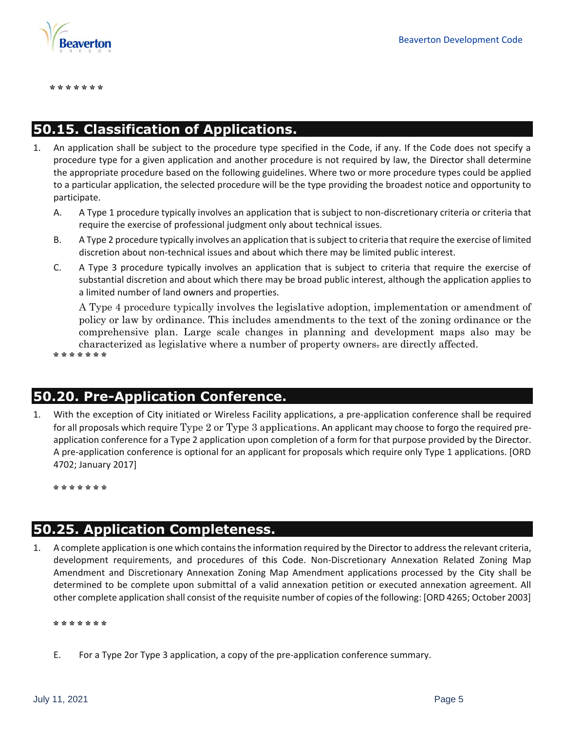

### **50.15. Classification of Applications.**

- An application shall be subject to the procedure type specified in the Code, if any. If the Code does not specify a procedure type for a given application and another procedure is not required by law, the Director shall determine the appropriate procedure based on the following guidelines. Where two or more procedure types could be applied to a particular application, the selected procedure will be the type providing the broadest notice and opportunity to participate.
	- A. A Type 1 procedure typically involves an application that is subject to non-discretionary criteria or criteria that require the exercise of professional judgment only about technical issues.
	- B. A Type 2 procedure typically involves an application that is subject to criteria that require the exercise of limited discretion about non-technical issues and about which there may be limited public interest.
	- C. A Type 3 procedure typically involves an application that is subject to criteria that require the exercise of substantial discretion and about which there may be broad public interest, although the application applies to a limited number of land owners and properties.

A Type 4 procedure typically involves the legislative adoption, implementation or amendment of policy or law by ordinance. This includes amendments to the text of the zoning ordinance or the comprehensive plan. Large scale changes in planning and development maps also may be characterized as legislative where a number of property owners. are directly affected.

**\* \* \* \* \* \* \***

### **50.20. Pre-Application Conference.**

1. With the exception of City initiated or Wireless Facility applications, a pre-application conference shall be required for all proposals which require Type 2 or Type 3 applications. An applicant may choose to forgo the required preapplication conference for a Type 2 application upon completion of a form for that purpose provided by the Director. A pre-application conference is optional for an applicant for proposals which require only Type 1 applications. [ORD 4702; January 2017]

**\* \* \* \* \* \* \***

### **50.25. Application Completeness.**

1. A complete application is one which contains the information required by the Director to address the relevant criteria, development requirements, and procedures of this Code. Non-Discretionary Annexation Related Zoning Map Amendment and Discretionary Annexation Zoning Map Amendment applications processed by the City shall be determined to be complete upon submittal of a valid annexation petition or executed annexation agreement. All other complete application shall consist of the requisite number of copies of the following: [ORD 4265; October 2003]

**\* \* \* \* \* \* \***

E. For a Type 2or Type 3 application, a copy of the pre-application conference summary.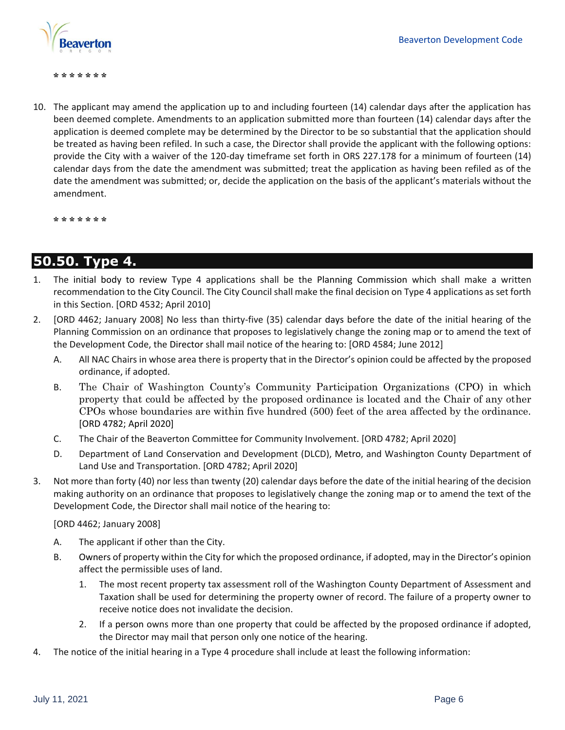

10. The applicant may amend the application up to and including fourteen (14) calendar days after the application has been deemed complete. Amendments to an application submitted more than fourteen (14) calendar days after the application is deemed complete may be determined by the Director to be so substantial that the application should be treated as having been refiled. In such a case, the Director shall provide the applicant with the following options: provide the City with a waiver of the 120-day timeframe set forth in ORS 227.178 for a minimum of fourteen (14) calendar days from the date the amendment was submitted; treat the application as having been refiled as of the date the amendment was submitted; or, decide the application on the basis of the applicant's materials without the amendment.

**\* \* \* \* \* \* \***

### **50.50. Type 4.**

- 1. The initial body to review Type 4 applications shall be the Planning Commission which shall make a written recommendation to the City Council. The City Council shall make the final decision on Type 4 applications as set forth in this Section. [ORD 4532; April 2010]
- 2. [ORD 4462; January 2008] No less than thirty-five (35) calendar days before the date of the initial hearing of the Planning Commission on an ordinance that proposes to legislatively change the zoning map or to amend the text of the Development Code, the Director shall mail notice of the hearing to: [ORD 4584; June 2012]
	- A. All NAC Chairs in whose area there is property that in the Director's opinion could be affected by the proposed ordinance, if adopted.
	- B. The Chair of Washington County's Community Participation Organizations (CPO) in which property that could be affected by the proposed ordinance is located and the Chair of any other CPOs whose boundaries are within five hundred (500) feet of the area affected by the ordinance. [ORD 4782; April 2020]
	- C. The Chair of the Beaverton Committee for Community Involvement. [ORD 4782; April 2020]
	- D. Department of Land Conservation and Development (DLCD), Metro, and Washington County Department of Land Use and Transportation. [ORD 4782; April 2020]
- 3. Not more than forty (40) nor less than twenty (20) calendar days before the date of the initial hearing of the decision making authority on an ordinance that proposes to legislatively change the zoning map or to amend the text of the Development Code, the Director shall mail notice of the hearing to:

[ORD 4462; January 2008]

- A. The applicant if other than the City.
- B. Owners of property within the City for which the proposed ordinance, if adopted, may in the Director's opinion affect the permissible uses of land.
	- 1. The most recent property tax assessment roll of the Washington County Department of Assessment and Taxation shall be used for determining the property owner of record. The failure of a property owner to receive notice does not invalidate the decision.
	- 2. If a person owns more than one property that could be affected by the proposed ordinance if adopted, the Director may mail that person only one notice of the hearing.
- 4. The notice of the initial hearing in a Type 4 procedure shall include at least the following information: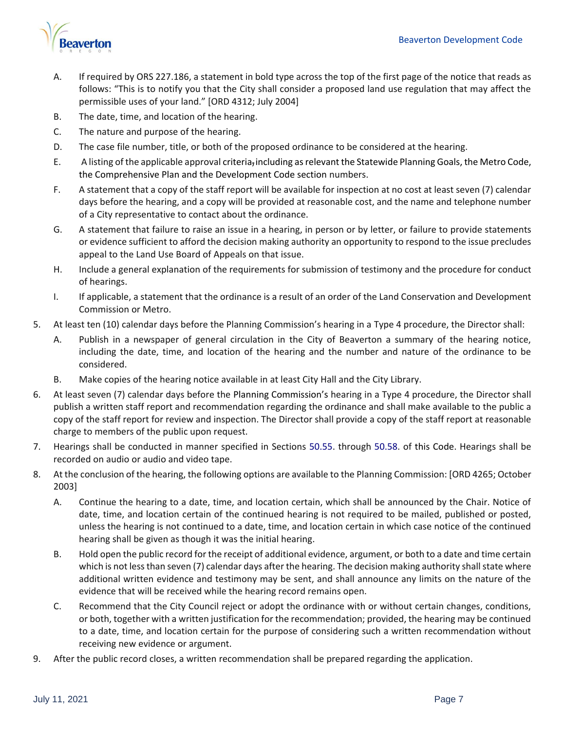

- A. If required by ORS 227.186, a statement in bold type across the top of the first page of the notice that reads as follows: "This is to notify you that the City shall consider a proposed land use regulation that may affect the permissible uses of your land." [ORD 4312; July 2004]
- B. The date, time, and location of the hearing.
- C. The nature and purpose of the hearing.
- D. The case file number, title, or both of the proposed ordinance to be considered at the hearing.
- E. A listing of the applicable approval criteria,including as relevant the Statewide Planning Goals, the Metro Code, the Comprehensive Plan and the Development Code section numbers.
- F. A statement that a copy of the staff report will be available for inspection at no cost at least seven (7) calendar days before the hearing, and a copy will be provided at reasonable cost, and the name and telephone number of a City representative to contact about the ordinance.
- G. A statement that failure to raise an issue in a hearing, in person or by letter, or failure to provide statements or evidence sufficient to afford the decision making authority an opportunity to respond to the issue precludes appeal to the Land Use Board of Appeals on that issue.
- H. Include a general explanation of the requirements for submission of testimony and the procedure for conduct of hearings.
- I. If applicable, a statement that the ordinance is a result of an order of the Land Conservation and Development Commission or Metro.
- 5. At least ten (10) calendar days before the Planning Commission's hearing in a Type 4 procedure, the Director shall:
	- A. Publish in a newspaper of general circulation in the City of Beaverton a summary of the hearing notice, including the date, time, and location of the hearing and the number and nature of the ordinance to be considered.
	- B. Make copies of the hearing notice available in at least City Hall and the City Library.
- 6. At least seven (7) calendar days before the Planning Commission's hearing in a Type 4 procedure, the Director shall publish a written staff report and recommendation regarding the ordinance and shall make available to the public a copy of the staff report for review and inspection. The Director shall provide a copy of the staff report at reasonable charge to members of the public upon request.
- 7. Hearings shall be conducted in manner specified in Sections 50.55. through 50.58. of this Code. Hearings shall be recorded on audio or audio and video tape.
- 8. At the conclusion of the hearing, the following options are available to the Planning Commission: [ORD 4265; October 2003]
	- A. Continue the hearing to a date, time, and location certain, which shall be announced by the Chair. Notice of date, time, and location certain of the continued hearing is not required to be mailed, published or posted, unless the hearing is not continued to a date, time, and location certain in which case notice of the continued hearing shall be given as though it was the initial hearing.
	- B. Hold open the public record for the receipt of additional evidence, argument, or both to a date and time certain which is not less than seven (7) calendar days after the hearing. The decision making authority shall state where additional written evidence and testimony may be sent, and shall announce any limits on the nature of the evidence that will be received while the hearing record remains open.
	- C. Recommend that the City Council reject or adopt the ordinance with or without certain changes, conditions, or both, together with a written justification for the recommendation; provided, the hearing may be continued to a date, time, and location certain for the purpose of considering such a written recommendation without receiving new evidence or argument.
- 9. After the public record closes, a written recommendation shall be prepared regarding the application.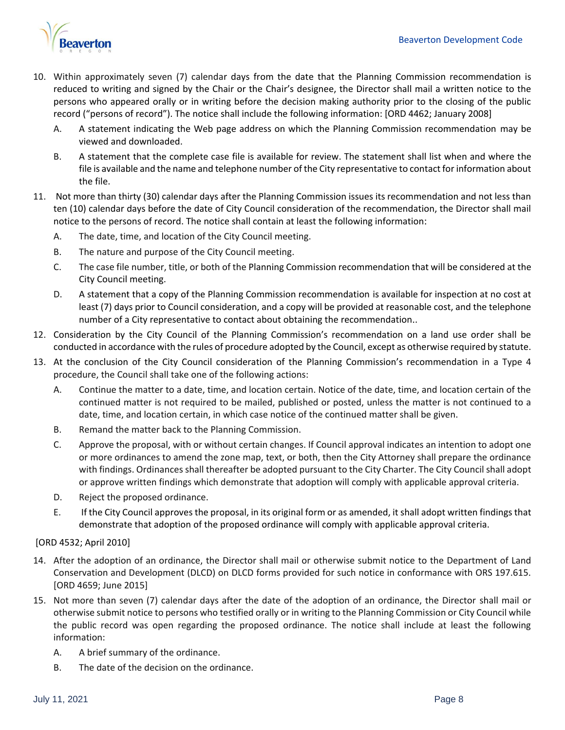

- 10. Within approximately seven (7) calendar days from the date that the Planning Commission recommendation is reduced to writing and signed by the Chair or the Chair's designee, the Director shall mail a written notice to the persons who appeared orally or in writing before the decision making authority prior to the closing of the public record ("persons of record"). The notice shall include the following information: [ORD 4462; January 2008]
	- A. A statement indicating the Web page address on which the Planning Commission recommendation may be viewed and downloaded.
	- B. A statement that the complete case file is available for review. The statement shall list when and where the file is available and the name and telephone number of the City representative to contact for information about the file.
- 11. Not more than thirty (30) calendar days after the Planning Commission issues its recommendation and not less than ten (10) calendar days before the date of City Council consideration of the recommendation, the Director shall mail notice to the persons of record. The notice shall contain at least the following information:
	- A. The date, time, and location of the City Council meeting.
	- B. The nature and purpose of the City Council meeting.
	- C. The case file number, title, or both of the Planning Commission recommendation that will be considered at the City Council meeting.
	- D. A statement that a copy of the Planning Commission recommendation is available for inspection at no cost at least (7) days prior to Council consideration, and a copy will be provided at reasonable cost, and the telephone number of a City representative to contact about obtaining the recommendation..
- 12. Consideration by the City Council of the Planning Commission's recommendation on a land use order shall be conducted in accordance with the rules of procedure adopted by the Council, except as otherwise required by statute.
- 13. At the conclusion of the City Council consideration of the Planning Commission's recommendation in a Type 4 procedure, the Council shall take one of the following actions:
	- A. Continue the matter to a date, time, and location certain. Notice of the date, time, and location certain of the continued matter is not required to be mailed, published or posted, unless the matter is not continued to a date, time, and location certain, in which case notice of the continued matter shall be given.
	- B. Remand the matter back to the Planning Commission.
	- C. Approve the proposal, with or without certain changes. If Council approval indicates an intention to adopt one or more ordinances to amend the zone map, text, or both, then the City Attorney shall prepare the ordinance with findings. Ordinances shall thereafter be adopted pursuant to the City Charter. The City Council shall adopt or approve written findings which demonstrate that adoption will comply with applicable approval criteria.
	- D. Reject the proposed ordinance.
	- E. If the City Council approves the proposal, in its original form or as amended, it shall adopt written findings that demonstrate that adoption of the proposed ordinance will comply with applicable approval criteria.

#### [ORD 4532; April 2010]

- 14. After the adoption of an ordinance, the Director shall mail or otherwise submit notice to the Department of Land Conservation and Development (DLCD) on DLCD forms provided for such notice in conformance with ORS 197.615. [ORD 4659; June 2015]
- 15. Not more than seven (7) calendar days after the date of the adoption of an ordinance, the Director shall mail or otherwise submit notice to persons who testified orally or in writing to the Planning Commission or City Council while the public record was open regarding the proposed ordinance. The notice shall include at least the following information:
	- A. A brief summary of the ordinance.
	- B. The date of the decision on the ordinance.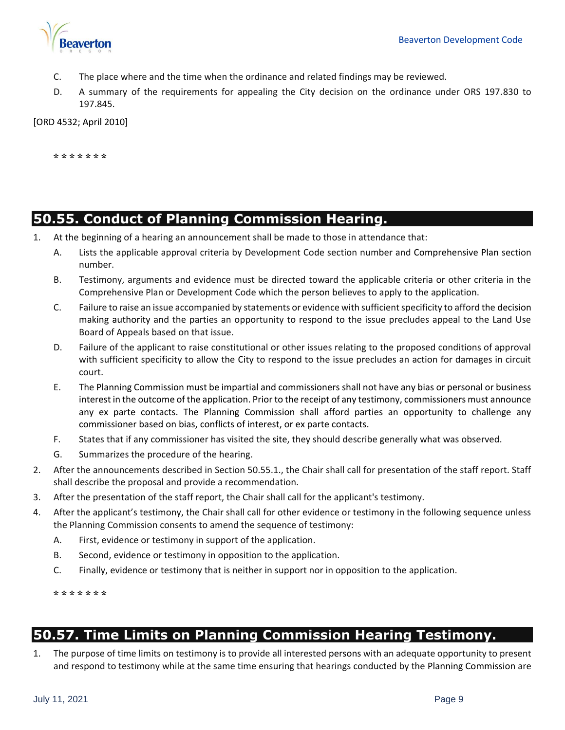

- C. The place where and the time when the ordinance and related findings may be reviewed.
- D. A summary of the requirements for appealing the City decision on the ordinance under ORS 197.830 to 197.845.

[ORD 4532; April 2010]

**\* \* \* \* \* \* \***

#### **50.55. Conduct of Planning Commission Hearing.**

- 1. At the beginning of a hearing an announcement shall be made to those in attendance that:
	- A. Lists the applicable approval criteria by Development Code section number and Comprehensive Plan section number.
	- B. Testimony, arguments and evidence must be directed toward the applicable criteria or other criteria in the Comprehensive Plan or Development Code which the person believes to apply to the application.
	- C. Failure to raise an issue accompanied by statements or evidence with sufficient specificity to afford the decision making authority and the parties an opportunity to respond to the issue precludes appeal to the Land Use Board of Appeals based on that issue.
	- D. Failure of the applicant to raise constitutional or other issues relating to the proposed conditions of approval with sufficient specificity to allow the City to respond to the issue precludes an action for damages in circuit court.
	- E. The Planning Commission must be impartial and commissioners shall not have any bias or personal or business interest in the outcome of the application. Prior to the receipt of any testimony, commissioners must announce any ex parte contacts. The Planning Commission shall afford parties an opportunity to challenge any commissioner based on bias, conflicts of interest, or ex parte contacts.
	- F. States that if any commissioner has visited the site, they should describe generally what was observed.
	- G. Summarizes the procedure of the hearing.
- 2. After the announcements described in Section 50.55.1., the Chair shall call for presentation of the staff report. Staff shall describe the proposal and provide a recommendation.
- 3. After the presentation of the staff report, the Chair shall call for the applicant's testimony.
- 4. After the applicant's testimony, the Chair shall call for other evidence or testimony in the following sequence unless the Planning Commission consents to amend the sequence of testimony:
	- A. First, evidence or testimony in support of the application.
	- B. Second, evidence or testimony in opposition to the application.
	- C. Finally, evidence or testimony that is neither in support nor in opposition to the application.

**\* \* \* \* \* \* \***

# **50.57. Time Limits on Planning Commission Hearing Testimony.**

1. The purpose of time limits on testimony is to provide all interested persons with an adequate opportunity to present and respond to testimony while at the same time ensuring that hearings conducted by the Planning Commission are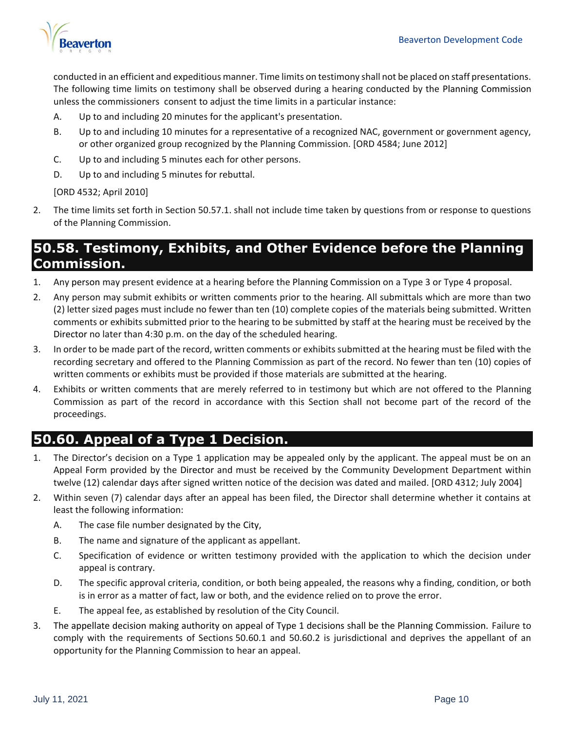conducted in an efficient and expeditious manner. Time limits on testimony shall not be placed on staff presentations. The following time limits on testimony shall be observed during a hearing conducted by the Planning Commission unless the commissioners consent to adjust the time limits in a particular instance:

- A. Up to and including 20 minutes for the applicant's presentation.
- B. Up to and including 10 minutes for a representative of a recognized NAC, government or government agency, or other organized group recognized by the Planning Commission. [ORD 4584; June 2012]
- C. Up to and including 5 minutes each for other persons.
- D. Up to and including 5 minutes for rebuttal.

#### [ORD 4532; April 2010]

2. The time limits set forth in Section 50.57.1. shall not include time taken by questions from or response to questions of the Planning Commission.

### **50.58. Testimony, Exhibits, and Other Evidence before the Planning Commission.**

- 1. Any person may present evidence at a hearing before the Planning Commission on a Type 3 or Type 4 proposal.
- 2. Any person may submit exhibits or written comments prior to the hearing. All submittals which are more than two (2) letter sized pages must include no fewer than ten (10) complete copies of the materials being submitted. Written comments or exhibits submitted prior to the hearing to be submitted by staff at the hearing must be received by the Director no later than 4:30 p.m. on the day of the scheduled hearing.
- 3. In order to be made part of the record, written comments or exhibits submitted at the hearing must be filed with the recording secretary and offered to the Planning Commission as part of the record. No fewer than ten (10) copies of written comments or exhibits must be provided if those materials are submitted at the hearing.
- 4. Exhibits or written comments that are merely referred to in testimony but which are not offered to the Planning Commission as part of the record in accordance with this Section shall not become part of the record of the proceedings.

# **50.60. Appeal of a Type 1 Decision.**

- 1. The Director's decision on a Type 1 application may be appealed only by the applicant. The appeal must be on an Appeal Form provided by the Director and must be received by the Community Development Department within twelve (12) calendar days after signed written notice of the decision was dated and mailed. [ORD 4312; July 2004]
- 2. Within seven (7) calendar days after an appeal has been filed, the Director shall determine whether it contains at least the following information:
	- A. The case file number designated by the City,
	- B. The name and signature of the applicant as appellant.
	- C. Specification of evidence or written testimony provided with the application to which the decision under appeal is contrary.
	- D. The specific approval criteria, condition, or both being appealed, the reasons why a finding, condition, or both is in error as a matter of fact, law or both, and the evidence relied on to prove the error.
	- E. The appeal fee, as established by resolution of the City Council.
- 3. The appellate decision making authority on appeal of Type 1 decisions shall be the Planning Commission. Failure to comply with the requirements of Sections 50.60.1 and 50.60.2 is jurisdictional and deprives the appellant of an opportunity for the Planning Commission to hear an appeal.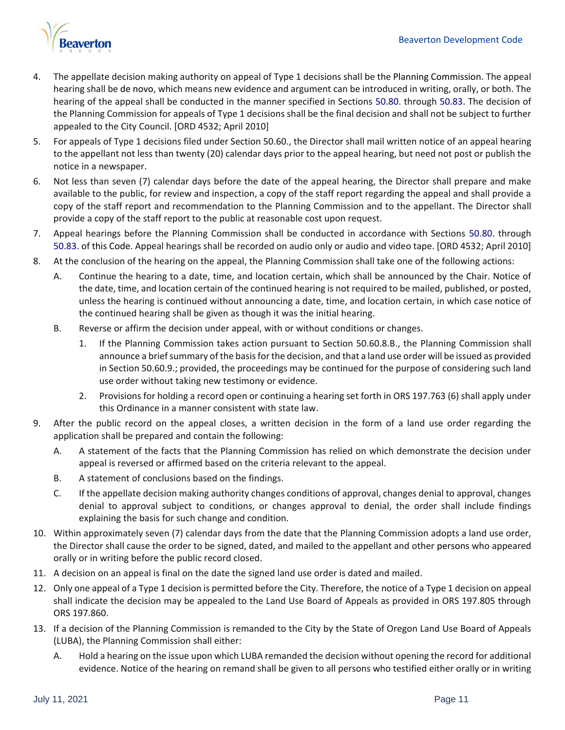

- 4. The appellate decision making authority on appeal of Type 1 decisions shall be the Planning Commission. The appeal hearing shall be de novo, which means new evidence and argument can be introduced in writing, orally, or both. The hearing of the appeal shall be conducted in the manner specified in Sections 50.80. through 50.83. The decision of the Planning Commission for appeals of Type 1 decisions shall be the final decision and shall not be subject to further appealed to the City Council. [ORD 4532; April 2010]
- 5. For appeals of Type 1 decisions filed under Section 50.60., the Director shall mail written notice of an appeal hearing to the appellant not less than twenty (20) calendar days prior to the appeal hearing, but need not post or publish the notice in a newspaper.
- 6. Not less than seven (7) calendar days before the date of the appeal hearing, the Director shall prepare and make available to the public, for review and inspection, a copy of the staff report regarding the appeal and shall provide a copy of the staff report and recommendation to the Planning Commission and to the appellant. The Director shall provide a copy of the staff report to the public at reasonable cost upon request.
- 7. Appeal hearings before the Planning Commission shall be conducted in accordance with Sections 50.80. through 50.83. of this Code. Appeal hearings shall be recorded on audio only or audio and video tape. [ORD 4532; April 2010]
- 8. At the conclusion of the hearing on the appeal, the Planning Commission shall take one of the following actions:
	- A. Continue the hearing to a date, time, and location certain, which shall be announced by the Chair. Notice of the date, time, and location certain of the continued hearing is not required to be mailed, published, or posted, unless the hearing is continued without announcing a date, time, and location certain, in which case notice of the continued hearing shall be given as though it was the initial hearing.
	- B. Reverse or affirm the decision under appeal, with or without conditions or changes.
		- 1. If the Planning Commission takes action pursuant to Section 50.60.8.B., the Planning Commission shall announce a brief summary of the basis for the decision, and that a land use order will be issued as provided in Section 50.60.9.; provided, the proceedings may be continued for the purpose of considering such land use order without taking new testimony or evidence.
		- 2. Provisions for holding a record open or continuing a hearing set forth in ORS 197.763 (6) shall apply under this Ordinance in a manner consistent with state law.
- 9. After the public record on the appeal closes, a written decision in the form of a land use order regarding the application shall be prepared and contain the following:
	- A. A statement of the facts that the Planning Commission has relied on which demonstrate the decision under appeal is reversed or affirmed based on the criteria relevant to the appeal.
	- B. A statement of conclusions based on the findings.
	- C. If the appellate decision making authority changes conditions of approval, changes denial to approval, changes denial to approval subject to conditions, or changes approval to denial, the order shall include findings explaining the basis for such change and condition.
- 10. Within approximately seven (7) calendar days from the date that the Planning Commission adopts a land use order, the Director shall cause the order to be signed, dated, and mailed to the appellant and other persons who appeared orally or in writing before the public record closed.
- 11. A decision on an appeal is final on the date the signed land use order is dated and mailed.
- 12. Only one appeal of a Type 1 decision is permitted before the City. Therefore, the notice of a Type 1 decision on appeal shall indicate the decision may be appealed to the Land Use Board of Appeals as provided in ORS 197.805 through ORS 197.860.
- 13. If a decision of the Planning Commission is remanded to the City by the State of Oregon Land Use Board of Appeals (LUBA), the Planning Commission shall either:
	- A. Hold a hearing on the issue upon which LUBA remanded the decision without opening the record for additional evidence. Notice of the hearing on remand shall be given to all persons who testified either orally or in writing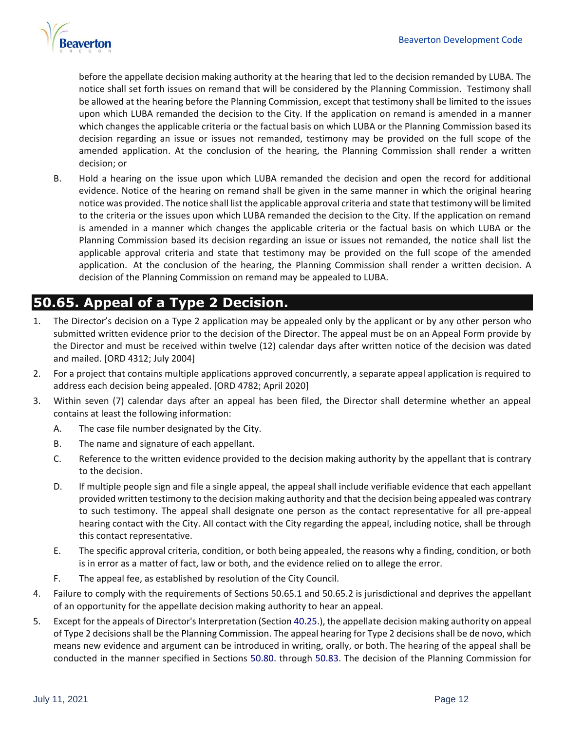

before the appellate decision making authority at the hearing that led to the decision remanded by LUBA. The notice shall set forth issues on remand that will be considered by the Planning Commission. Testimony shall be allowed at the hearing before the Planning Commission, except that testimony shall be limited to the issues upon which LUBA remanded the decision to the City. If the application on remand is amended in a manner which changes the applicable criteria or the factual basis on which LUBA or the Planning Commission based its decision regarding an issue or issues not remanded, testimony may be provided on the full scope of the amended application. At the conclusion of the hearing, the Planning Commission shall render a written decision; or

B. Hold a hearing on the issue upon which LUBA remanded the decision and open the record for additional evidence. Notice of the hearing on remand shall be given in the same manner in which the original hearing notice was provided. The notice shall list the applicable approval criteria and state that testimony will be limited to the criteria or the issues upon which LUBA remanded the decision to the City. If the application on remand is amended in a manner which changes the applicable criteria or the factual basis on which LUBA or the Planning Commission based its decision regarding an issue or issues not remanded, the notice shall list the applicable approval criteria and state that testimony may be provided on the full scope of the amended application. At the conclusion of the hearing, the Planning Commission shall render a written decision. A decision of the Planning Commission on remand may be appealed to LUBA.

# **50.65. Appeal of a Type 2 Decision.**

- 1. The Director's decision on a Type 2 application may be appealed only by the applicant or by any other person who submitted written evidence prior to the decision of the Director. The appeal must be on an Appeal Form provide by the Director and must be received within twelve (12) calendar days after written notice of the decision was dated and mailed. [ORD 4312; July 2004]
- 2. For a project that contains multiple applications approved concurrently, a separate appeal application is required to address each decision being appealed. [ORD 4782; April 2020]
- 3. Within seven (7) calendar days after an appeal has been filed, the Director shall determine whether an appeal contains at least the following information:
	- A. The case file number designated by the City.
	- B. The name and signature of each appellant.
	- C. Reference to the written evidence provided to the decision making authority by the appellant that is contrary to the decision.
	- D. If multiple people sign and file a single appeal, the appeal shall include verifiable evidence that each appellant provided written testimony to the decision making authority and that the decision being appealed was contrary to such testimony. The appeal shall designate one person as the contact representative for all pre-appeal hearing contact with the City. All contact with the City regarding the appeal, including notice, shall be through this contact representative.
	- E. The specific approval criteria, condition, or both being appealed, the reasons why a finding, condition, or both is in error as a matter of fact, law or both, and the evidence relied on to allege the error.
	- F. The appeal fee, as established by resolution of the City Council.
- 4. Failure to comply with the requirements of Sections 50.65.1 and 50.65.2 is jurisdictional and deprives the appellant of an opportunity for the appellate decision making authority to hear an appeal.
- 5. Except for the appeals of Director's Interpretation (Section 40.25.), the appellate decision making authority on appeal of Type 2 decisions shall be the Planning Commission. The appeal hearing for Type 2 decisions shall be de novo, which means new evidence and argument can be introduced in writing, orally, or both. The hearing of the appeal shall be conducted in the manner specified in Sections 50.80. through 50.83. The decision of the Planning Commission for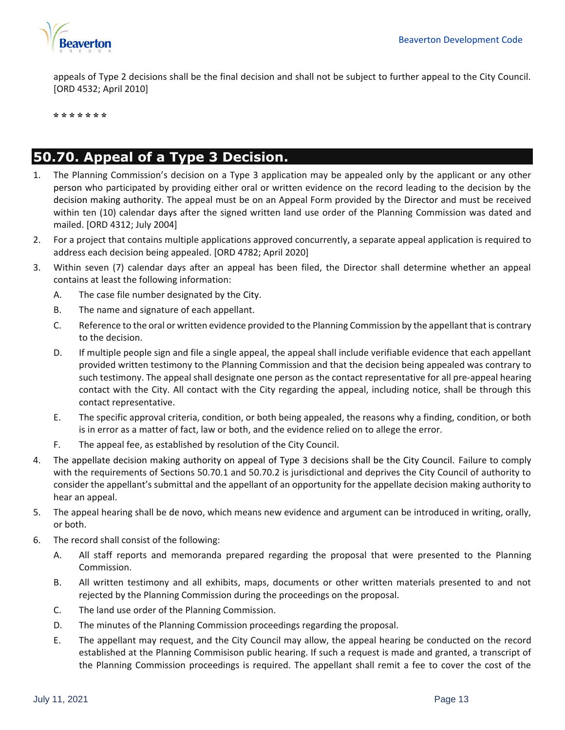

appeals of Type 2 decisions shall be the final decision and shall not be subject to further appeal to the City Council. [ORD 4532; April 2010]

**\* \* \* \* \* \* \***

## **50.70. Appeal of a Type 3 Decision.**

- 1. The Planning Commission's decision on a Type 3 application may be appealed only by the applicant or any other person who participated by providing either oral or written evidence on the record leading to the decision by the decision making authority. The appeal must be on an Appeal Form provided by the Director and must be received within ten (10) calendar days after the signed written land use order of the Planning Commission was dated and mailed. [ORD 4312; July 2004]
- 2. For a project that contains multiple applications approved concurrently, a separate appeal application is required to address each decision being appealed. [ORD 4782; April 2020]
- 3. Within seven (7) calendar days after an appeal has been filed, the Director shall determine whether an appeal contains at least the following information:
	- A. The case file number designated by the City.
	- B. The name and signature of each appellant.
	- C. Reference to the oral or written evidence provided to the Planning Commission by the appellant that is contrary to the decision.
	- D. If multiple people sign and file a single appeal, the appeal shall include verifiable evidence that each appellant provided written testimony to the Planning Commission and that the decision being appealed was contrary to such testimony. The appeal shall designate one person as the contact representative for all pre-appeal hearing contact with the City. All contact with the City regarding the appeal, including notice, shall be through this contact representative.
	- E. The specific approval criteria, condition, or both being appealed, the reasons why a finding, condition, or both is in error as a matter of fact, law or both, and the evidence relied on to allege the error.
	- F. The appeal fee, as established by resolution of the City Council.
- 4. The appellate decision making authority on appeal of Type 3 decisions shall be the City Council. Failure to comply with the requirements of Sections 50.70.1 and 50.70.2 is jurisdictional and deprives the City Council of authority to consider the appellant's submittal and the appellant of an opportunity for the appellate decision making authority to hear an appeal.
- 5. The appeal hearing shall be de novo, which means new evidence and argument can be introduced in writing, orally, or both.
- 6. The record shall consist of the following:
	- A. All staff reports and memoranda prepared regarding the proposal that were presented to the Planning Commission.
	- B. All written testimony and all exhibits, maps, documents or other written materials presented to and not rejected by the Planning Commission during the proceedings on the proposal.
	- C. The land use order of the Planning Commission.
	- D. The minutes of the Planning Commission proceedings regarding the proposal.
	- E. The appellant may request, and the City Council may allow, the appeal hearing be conducted on the record established at the Planning Commisison public hearing. If such a request is made and granted, a transcript of the Planning Commission proceedings is required. The appellant shall remit a fee to cover the cost of the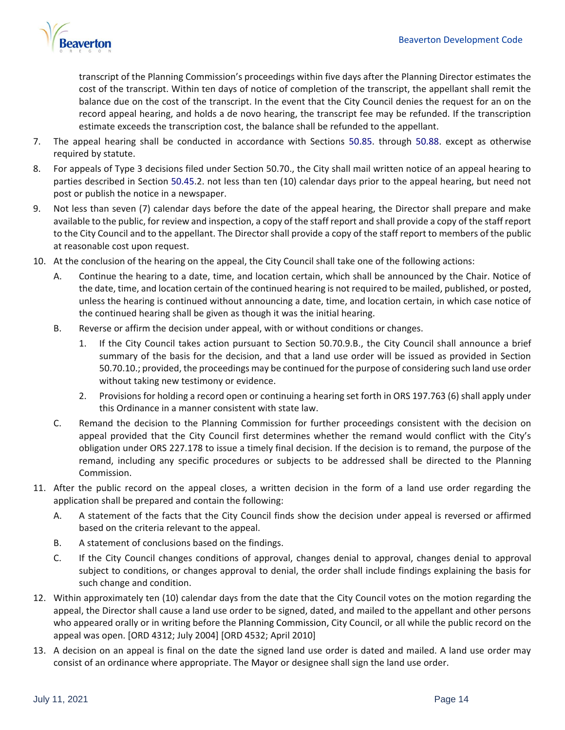

transcript of the Planning Commission's proceedings within five days after the Planning Director estimates the cost of the transcript. Within ten days of notice of completion of the transcript, the appellant shall remit the balance due on the cost of the transcript. In the event that the City Council denies the request for an on the record appeal hearing, and holds a de novo hearing, the transcript fee may be refunded. If the transcription estimate exceeds the transcription cost, the balance shall be refunded to the appellant.

- 7. The appeal hearing shall be conducted in accordance with Sections 50.85. through 50.88. except as otherwise required by statute.
- 8. For appeals of Type 3 decisions filed under Section 50.70., the City shall mail written notice of an appeal hearing to parties described in Section 50.45.2. not less than ten (10) calendar days prior to the appeal hearing, but need not post or publish the notice in a newspaper.
- 9. Not less than seven (7) calendar days before the date of the appeal hearing, the Director shall prepare and make available to the public, for review and inspection, a copy of the staff report and shall provide a copy of the staff report to the City Council and to the appellant. The Director shall provide a copy of the staff report to members of the public at reasonable cost upon request.
- 10. At the conclusion of the hearing on the appeal, the City Council shall take one of the following actions:
	- A. Continue the hearing to a date, time, and location certain, which shall be announced by the Chair. Notice of the date, time, and location certain of the continued hearing is not required to be mailed, published, or posted, unless the hearing is continued without announcing a date, time, and location certain, in which case notice of the continued hearing shall be given as though it was the initial hearing.
	- B. Reverse or affirm the decision under appeal, with or without conditions or changes.
		- 1. If the City Council takes action pursuant to Section 50.70.9.B., the City Council shall announce a brief summary of the basis for the decision, and that a land use order will be issued as provided in Section 50.70.10.; provided, the proceedings may be continued for the purpose of considering such land use order without taking new testimony or evidence.
		- 2. Provisions for holding a record open or continuing a hearing set forth in ORS 197.763 (6) shall apply under this Ordinance in a manner consistent with state law.
	- C. Remand the decision to the Planning Commission for further proceedings consistent with the decision on appeal provided that the City Council first determines whether the remand would conflict with the City's obligation under ORS 227.178 to issue a timely final decision. If the decision is to remand, the purpose of the remand, including any specific procedures or subjects to be addressed shall be directed to the Planning Commission.
- 11. After the public record on the appeal closes, a written decision in the form of a land use order regarding the application shall be prepared and contain the following:
	- A. A statement of the facts that the City Council finds show the decision under appeal is reversed or affirmed based on the criteria relevant to the appeal.
	- B. A statement of conclusions based on the findings.
	- C. If the City Council changes conditions of approval, changes denial to approval, changes denial to approval subject to conditions, or changes approval to denial, the order shall include findings explaining the basis for such change and condition.
- 12. Within approximately ten (10) calendar days from the date that the City Council votes on the motion regarding the appeal, the Director shall cause a land use order to be signed, dated, and mailed to the appellant and other persons who appeared orally or in writing before the Planning Commission, City Council, or all while the public record on the appeal was open. [ORD 4312; July 2004] [ORD 4532; April 2010]
- 13. A decision on an appeal is final on the date the signed land use order is dated and mailed. A land use order may consist of an ordinance where appropriate. The Mayor or designee shall sign the land use order.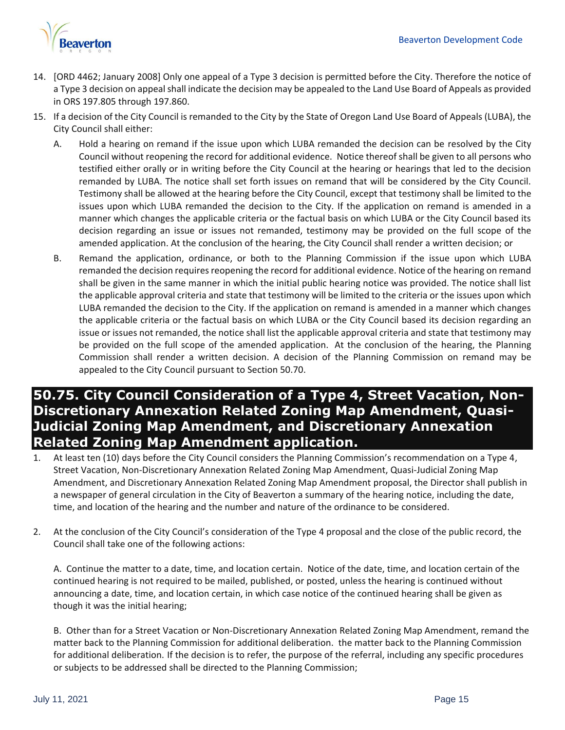

- 14. [ORD 4462; January 2008] Only one appeal of a Type 3 decision is permitted before the City. Therefore the notice of a Type 3 decision on appeal shall indicate the decision may be appealed to the Land Use Board of Appeals as provided in ORS 197.805 through 197.860.
- 15. If a decision of the City Council is remanded to the City by the State of Oregon Land Use Board of Appeals (LUBA), the City Council shall either:
	- A. Hold a hearing on remand if the issue upon which LUBA remanded the decision can be resolved by the City Council without reopening the record for additional evidence. Notice thereof shall be given to all persons who testified either orally or in writing before the City Council at the hearing or hearings that led to the decision remanded by LUBA. The notice shall set forth issues on remand that will be considered by the City Council. Testimony shall be allowed at the hearing before the City Council, except that testimony shall be limited to the issues upon which LUBA remanded the decision to the City. If the application on remand is amended in a manner which changes the applicable criteria or the factual basis on which LUBA or the City Council based its decision regarding an issue or issues not remanded, testimony may be provided on the full scope of the amended application. At the conclusion of the hearing, the City Council shall render a written decision; or
	- B. Remand the application, ordinance, or both to the Planning Commission if the issue upon which LUBA remanded the decision requires reopening the record for additional evidence. Notice of the hearing on remand shall be given in the same manner in which the initial public hearing notice was provided. The notice shall list the applicable approval criteria and state that testimony will be limited to the criteria or the issues upon which LUBA remanded the decision to the City. If the application on remand is amended in a manner which changes the applicable criteria or the factual basis on which LUBA or the City Council based its decision regarding an issue or issues not remanded, the notice shall list the applicable approval criteria and state that testimony may be provided on the full scope of the amended application. At the conclusion of the hearing, the Planning Commission shall render a written decision. A decision of the Planning Commission on remand may be appealed to the City Council pursuant to Section 50.70.

# **50.75. City Council Consideration of a Type 4, Street Vacation, Non-Discretionary Annexation Related Zoning Map Amendment, Quasi-Judicial Zoning Map Amendment, and Discretionary Annexation Related Zoning Map Amendment application.**

- 1. At least ten (10) days before the City Council considers the Planning Commission's recommendation on a Type 4, Street Vacation, Non-Discretionary Annexation Related Zoning Map Amendment, Quasi-Judicial Zoning Map Amendment, and Discretionary Annexation Related Zoning Map Amendment proposal, the Director shall publish in a newspaper of general circulation in the City of Beaverton a summary of the hearing notice, including the date, time, and location of the hearing and the number and nature of the ordinance to be considered.
- 2. At the conclusion of the City Council's consideration of the Type 4 proposal and the close of the public record, the Council shall take one of the following actions:

A. Continue the matter to a date, time, and location certain. Notice of the date, time, and location certain of the continued hearing is not required to be mailed, published, or posted, unless the hearing is continued without announcing a date, time, and location certain, in which case notice of the continued hearing shall be given as though it was the initial hearing;

B. Other than for a Street Vacation or Non-Discretionary Annexation Related Zoning Map Amendment, remand the matter back to the Planning Commission for additional deliberation. the matter back to the Planning Commission for additional deliberation. If the decision is to refer, the purpose of the referral, including any specific procedures or subjects to be addressed shall be directed to the Planning Commission;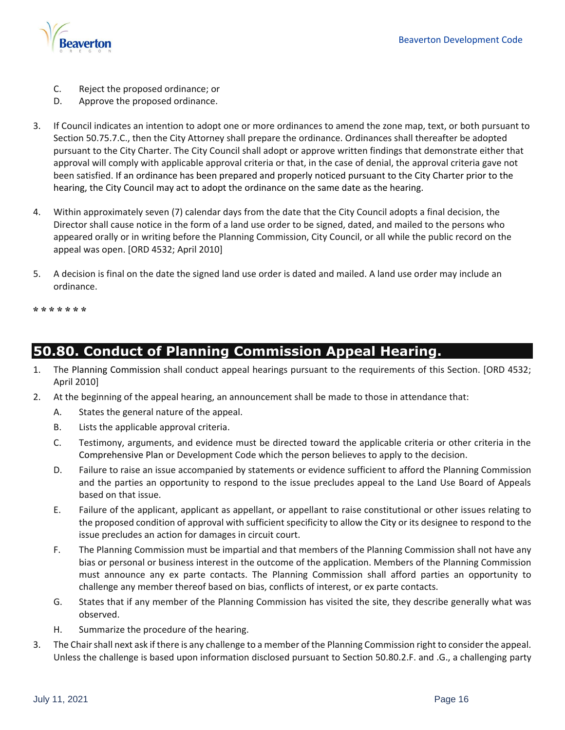

- C. Reject the proposed ordinance; or
- D. Approve the proposed ordinance.
- 3. If Council indicates an intention to adopt one or more ordinances to amend the zone map, text, or both pursuant to Section 50.75.7.C., then the City Attorney shall prepare the ordinance. Ordinances shall thereafter be adopted pursuant to the City Charter. The City Council shall adopt or approve written findings that demonstrate either that approval will comply with applicable approval criteria or that, in the case of denial, the approval criteria gave not been satisfied. If an ordinance has been prepared and properly noticed pursuant to the City Charter prior to the hearing, the City Council may act to adopt the ordinance on the same date as the hearing.
- 4. Within approximately seven (7) calendar days from the date that the City Council adopts a final decision, the Director shall cause notice in the form of a land use order to be signed, dated, and mailed to the persons who appeared orally or in writing before the Planning Commission, City Council, or all while the public record on the appeal was open. [ORD 4532; April 2010]
- 5. A decision is final on the date the signed land use order is dated and mailed. A land use order may include an ordinance.

## **50.80. Conduct of Planning Commission Appeal Hearing.**

- 1. The Planning Commission shall conduct appeal hearings pursuant to the requirements of this Section. [ORD 4532; April 2010]
- 2. At the beginning of the appeal hearing, an announcement shall be made to those in attendance that:
	- A. States the general nature of the appeal.
	- B. Lists the applicable approval criteria.
	- C. Testimony, arguments, and evidence must be directed toward the applicable criteria or other criteria in the Comprehensive Plan or Development Code which the person believes to apply to the decision.
	- D. Failure to raise an issue accompanied by statements or evidence sufficient to afford the Planning Commission and the parties an opportunity to respond to the issue precludes appeal to the Land Use Board of Appeals based on that issue.
	- E. Failure of the applicant, applicant as appellant, or appellant to raise constitutional or other issues relating to the proposed condition of approval with sufficient specificity to allow the City or its designee to respond to the issue precludes an action for damages in circuit court.
	- F. The Planning Commission must be impartial and that members of the Planning Commission shall not have any bias or personal or business interest in the outcome of the application. Members of the Planning Commission must announce any ex parte contacts. The Planning Commission shall afford parties an opportunity to challenge any member thereof based on bias, conflicts of interest, or ex parte contacts.
	- G. States that if any member of the Planning Commission has visited the site, they describe generally what was observed.
	- H. Summarize the procedure of the hearing.
- 3. The Chair shall next ask if there is any challenge to a member of the Planning Commission right to consider the appeal. Unless the challenge is based upon information disclosed pursuant to Section 50.80.2.F. and .G., a challenging party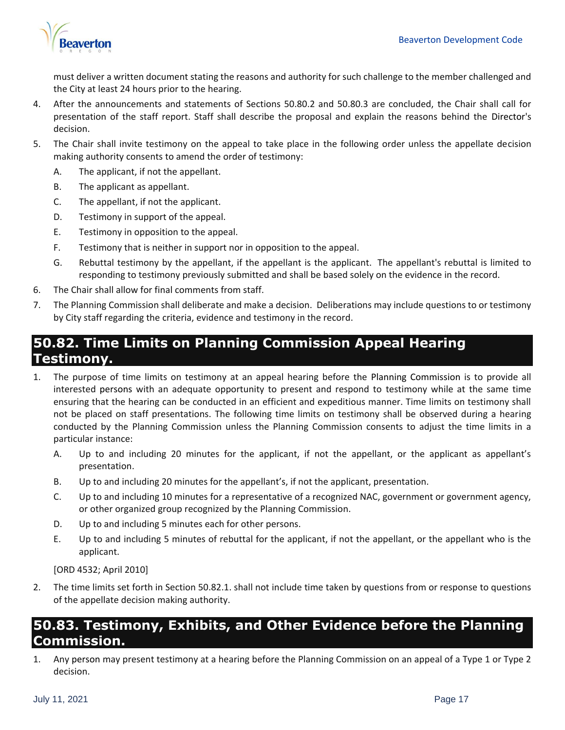

must deliver a written document stating the reasons and authority for such challenge to the member challenged and the City at least 24 hours prior to the hearing.

- 4. After the announcements and statements of Sections 50.80.2 and 50.80.3 are concluded, the Chair shall call for presentation of the staff report. Staff shall describe the proposal and explain the reasons behind the Director's decision.
- 5. The Chair shall invite testimony on the appeal to take place in the following order unless the appellate decision making authority consents to amend the order of testimony:
	- A. The applicant, if not the appellant.
	- B. The applicant as appellant.
	- C. The appellant, if not the applicant.
	- D. Testimony in support of the appeal.
	- E. Testimony in opposition to the appeal.
	- F. Testimony that is neither in support nor in opposition to the appeal.
	- G. Rebuttal testimony by the appellant, if the appellant is the applicant. The appellant's rebuttal is limited to responding to testimony previously submitted and shall be based solely on the evidence in the record.
- 6. The Chair shall allow for final comments from staff.
- 7. The Planning Commission shall deliberate and make a decision. Deliberations may include questions to or testimony by City staff regarding the criteria, evidence and testimony in the record.

# **50.82. Time Limits on Planning Commission Appeal Hearing Testimony.**

- 1. The purpose of time limits on testimony at an appeal hearing before the Planning Commission is to provide all interested persons with an adequate opportunity to present and respond to testimony while at the same time ensuring that the hearing can be conducted in an efficient and expeditious manner. Time limits on testimony shall not be placed on staff presentations. The following time limits on testimony shall be observed during a hearing conducted by the Planning Commission unless the Planning Commission consents to adjust the time limits in a particular instance:
	- A. Up to and including 20 minutes for the applicant, if not the appellant, or the applicant as appellant's presentation.
	- B. Up to and including 20 minutes for the appellant's, if not the applicant, presentation.
	- C. Up to and including 10 minutes for a representative of a recognized NAC, government or government agency, or other organized group recognized by the Planning Commission.
	- D. Up to and including 5 minutes each for other persons.
	- E. Up to and including 5 minutes of rebuttal for the applicant, if not the appellant, or the appellant who is the applicant.

[ORD 4532; April 2010]

2. The time limits set forth in Section 50.82.1. shall not include time taken by questions from or response to questions of the appellate decision making authority.

#### **50.83. Testimony, Exhibits, and Other Evidence before the Planning Commission.**

1. Any person may present testimony at a hearing before the Planning Commission on an appeal of a Type 1 or Type 2 decision.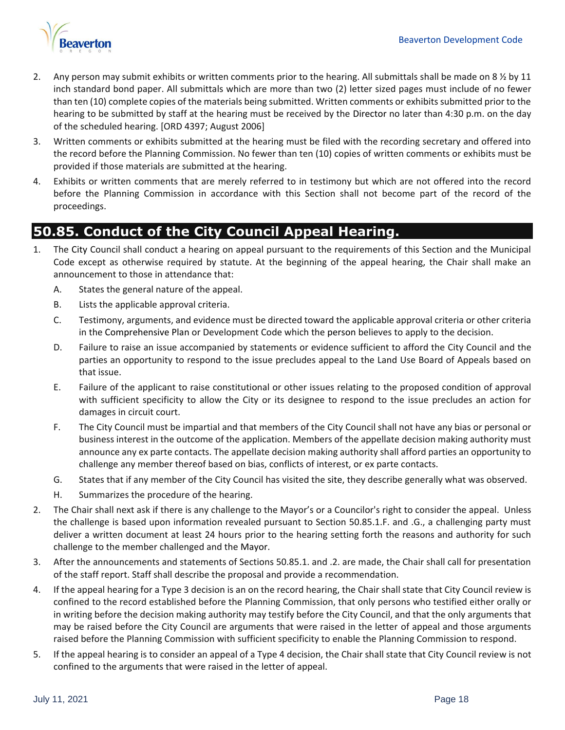

- 2. Any person may submit exhibits or written comments prior to the hearing. All submittals shall be made on 8  $\frac{1}{2}$  by 11 inch standard bond paper. All submittals which are more than two (2) letter sized pages must include of no fewer than ten (10) complete copies of the materials being submitted. Written comments or exhibits submitted prior to the hearing to be submitted by staff at the hearing must be received by the Director no later than 4:30 p.m. on the day of the scheduled hearing. [ORD 4397; August 2006]
- 3. Written comments or exhibits submitted at the hearing must be filed with the recording secretary and offered into the record before the Planning Commission. No fewer than ten (10) copies of written comments or exhibits must be provided if those materials are submitted at the hearing.
- 4. Exhibits or written comments that are merely referred to in testimony but which are not offered into the record before the Planning Commission in accordance with this Section shall not become part of the record of the proceedings.

# **50.85. Conduct of the City Council Appeal Hearing.**

- 1. The City Council shall conduct a hearing on appeal pursuant to the requirements of this Section and the Municipal Code except as otherwise required by statute. At the beginning of the appeal hearing, the Chair shall make an announcement to those in attendance that:
	- A. States the general nature of the appeal.
	- B. Lists the applicable approval criteria.
	- C. Testimony, arguments, and evidence must be directed toward the applicable approval criteria or other criteria in the Comprehensive Plan or Development Code which the person believes to apply to the decision.
	- D. Failure to raise an issue accompanied by statements or evidence sufficient to afford the City Council and the parties an opportunity to respond to the issue precludes appeal to the Land Use Board of Appeals based on that issue.
	- E. Failure of the applicant to raise constitutional or other issues relating to the proposed condition of approval with sufficient specificity to allow the City or its designee to respond to the issue precludes an action for damages in circuit court.
	- F. The City Council must be impartial and that members of the City Council shall not have any bias or personal or business interest in the outcome of the application. Members of the appellate decision making authority must announce any ex parte contacts. The appellate decision making authority shall afford parties an opportunity to challenge any member thereof based on bias, conflicts of interest, or ex parte contacts.
	- G. States that if any member of the City Council has visited the site, they describe generally what was observed.
	- H. Summarizes the procedure of the hearing.
- 2. The Chair shall next ask if there is any challenge to the Mayor's or a Councilor's right to consider the appeal. Unless the challenge is based upon information revealed pursuant to Section 50.85.1.F. and .G., a challenging party must deliver a written document at least 24 hours prior to the hearing setting forth the reasons and authority for such challenge to the member challenged and the Mayor.
- 3. After the announcements and statements of Sections 50.85.1. and .2. are made, the Chair shall call for presentation of the staff report. Staff shall describe the proposal and provide a recommendation.
- 4. If the appeal hearing for a Type 3 decision is an on the record hearing, the Chair shall state that City Council review is confined to the record established before the Planning Commission, that only persons who testified either orally or in writing before the decision making authority may testify before the City Council, and that the only arguments that may be raised before the City Council are arguments that were raised in the letter of appeal and those arguments raised before the Planning Commission with sufficient specificity to enable the Planning Commission to respond.
- 5. If the appeal hearing is to consider an appeal of a Type 4 decision, the Chair shall state that City Council review is not confined to the arguments that were raised in the letter of appeal.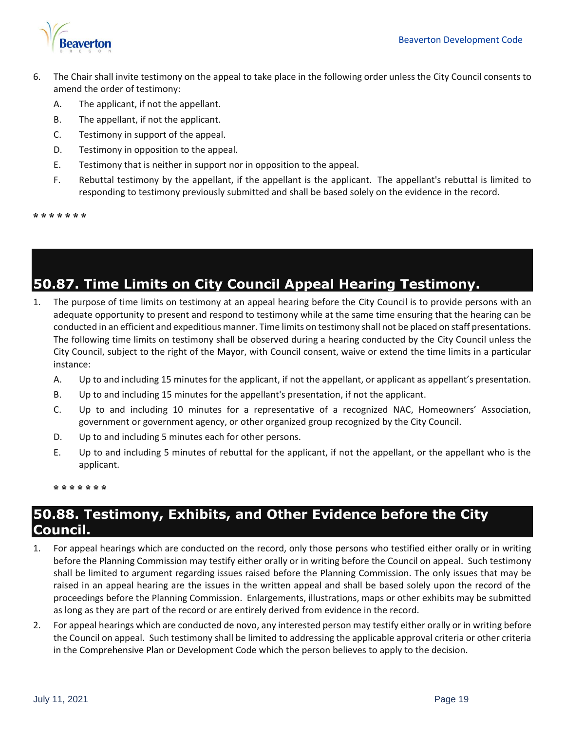

- 6. The Chair shall invite testimony on the appeal to take place in the following order unless the City Council consents to amend the order of testimony:
	- A. The applicant, if not the appellant.
	- B. The appellant, if not the applicant.
	- C. Testimony in support of the appeal.
	- D. Testimony in opposition to the appeal.
	- E. Testimony that is neither in support nor in opposition to the appeal.
	- F. Rebuttal testimony by the appellant, if the appellant is the applicant. The appellant's rebuttal is limited to responding to testimony previously submitted and shall be based solely on the evidence in the record.

# **50.87. Time Limits on City Council Appeal Hearing Testimony.**

- 1. The purpose of time limits on testimony at an appeal hearing before the City Council is to provide persons with an adequate opportunity to present and respond to testimony while at the same time ensuring that the hearing can be conducted in an efficient and expeditious manner. Time limits on testimony shall not be placed on staff presentations. The following time limits on testimony shall be observed during a hearing conducted by the City Council unless the City Council, subject to the right of the Mayor, with Council consent, waive or extend the time limits in a particular instance:
	- A. Up to and including 15 minutes for the applicant, if not the appellant, or applicant as appellant's presentation.
	- B. Up to and including 15 minutes for the appellant's presentation, if not the applicant.
	- C. Up to and including 10 minutes for a representative of a recognized NAC, Homeowners' Association, government or government agency, or other organized group recognized by the City Council.
	- D. Up to and including 5 minutes each for other persons.
	- E. Up to and including 5 minutes of rebuttal for the applicant, if not the appellant, or the appellant who is the applicant.

**\* \* \* \* \* \* \***

#### **50.88. Testimony, Exhibits, and Other Evidence before the City Council.**

- 1. For appeal hearings which are conducted on the record, only those persons who testified either orally or in writing before the Planning Commission may testify either orally or in writing before the Council on appeal. Such testimony shall be limited to argument regarding issues raised before the Planning Commission. The only issues that may be raised in an appeal hearing are the issues in the written appeal and shall be based solely upon the record of the proceedings before the Planning Commission. Enlargements, illustrations, maps or other exhibits may be submitted as long as they are part of the record or are entirely derived from evidence in the record.
- 2. For appeal hearings which are conducted de novo, any interested person may testify either orally or in writing before the Council on appeal. Such testimony shall be limited to addressing the applicable approval criteria or other criteria in the Comprehensive Plan or Development Code which the person believes to apply to the decision.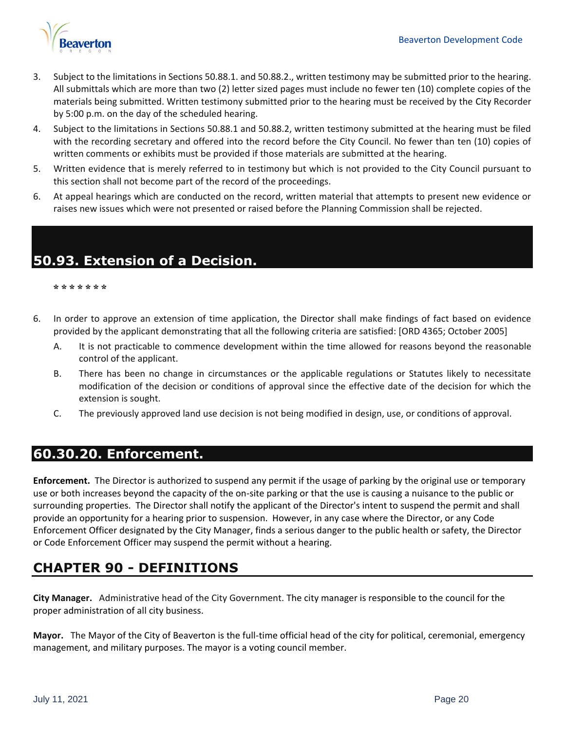

- 3. Subject to the limitations in Sections 50.88.1. and 50.88.2., written testimony may be submitted prior to the hearing. All submittals which are more than two (2) letter sized pages must include no fewer ten (10) complete copies of the materials being submitted. Written testimony submitted prior to the hearing must be received by the City Recorder by 5:00 p.m. on the day of the scheduled hearing.
- 4. Subject to the limitations in Sections 50.88.1 and 50.88.2, written testimony submitted at the hearing must be filed with the recording secretary and offered into the record before the City Council. No fewer than ten (10) copies of written comments or exhibits must be provided if those materials are submitted at the hearing.
- 5. Written evidence that is merely referred to in testimony but which is not provided to the City Council pursuant to this section shall not become part of the record of the proceedings.
- 6. At appeal hearings which are conducted on the record, written material that attempts to present new evidence or raises new issues which were not presented or raised before the Planning Commission shall be rejected.

# **50.93. Extension of a Decision.**

**\* \* \* \* \* \* \***

- 6. In order to approve an extension of time application, the Director shall make findings of fact based on evidence provided by the applicant demonstrating that all the following criteria are satisfied: [ORD 4365; October 2005]
	- A. It is not practicable to commence development within the time allowed for reasons beyond the reasonable control of the applicant.
	- B. There has been no change in circumstances or the applicable regulations or Statutes likely to necessitate modification of the decision or conditions of approval since the effective date of the decision for which the extension is sought.
	- C. The previously approved land use decision is not being modified in design, use, or conditions of approval.

## **60.30.20. Enforcement.**

**Enforcement.** The Director is authorized to suspend any permit if the usage of parking by the original use or temporary use or both increases beyond the capacity of the on-site parking or that the use is causing a nuisance to the public or surrounding properties. The Director shall notify the applicant of the Director's intent to suspend the permit and shall provide an opportunity for a hearing prior to suspension. However, in any case where the Director, or any Code Enforcement Officer designated by the City Manager, finds a serious danger to the public health or safety, the Director or Code Enforcement Officer may suspend the permit without a hearing.

# **CHAPTER 90 - DEFINITIONS**

**City Manager.** Administrative head of the City Government. The city manager is responsible to the council for the proper administration of all city business.

**Mayor.** The Mayor of the City of Beaverton is the full-time official head of the city for political, ceremonial, emergency management, and military purposes. The mayor is a voting council member.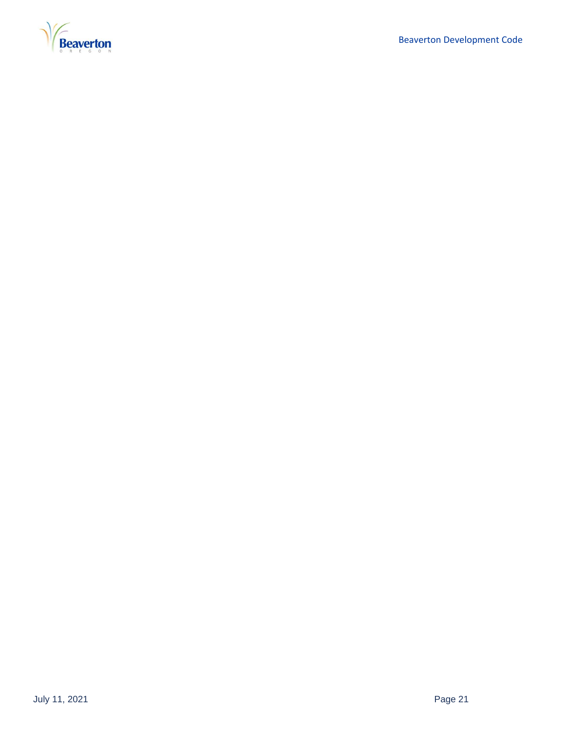